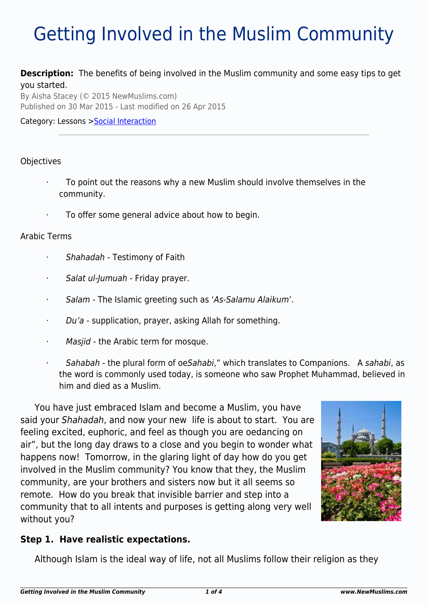# Getting Involved in the Muslim Community

### **Description:** The benefits of being involved in the Muslim community and some easy tips to get you started.

By Aisha Stacey (© 2015 NewMuslims.com) Published on 30 Mar 2015 - Last modified on 26 Apr 2015

Category: Lessons >[Social Interaction](http://www.newmuslims.com/category/136/)

### **Objectives**

- · To point out the reasons why a new Muslim should involve themselves in the community.
- To offer some general advice about how to begin.

#### Arabic Terms

- Shahadah Testimony of Faith
- · Salat ul-Jumuah Friday prayer.
- · Salam The Islamic greeting such as 'As-Salamu Alaikum'.
- · Du'a supplication, prayer, asking Allah for something.
- Masjid the Arabic term for mosque.
- Sahabah the plural form of oeSahabi," which translates to Companions. A sahabi, as the word is commonly used today, is someone who saw Prophet Muhammad, believed in him and died as a Muslim.

You have just embraced Islam and become a Muslim, you have said your Shahadah, and now your new life is about to start. You are feeling excited, euphoric, and feel as though you are oedancing on air", but the long day draws to a close and you begin to wonder what happens now! Tomorrow, in the glaring light of day how do you get involved in the Muslim community? You know that they, the Muslim community, are your brothers and sisters now but it all seems so remote. How do you break that invisible barrier and step into a community that to all intents and purposes is getting along very well without you?



Although Islam is the ideal way of life, not all Muslims follow their religion as they

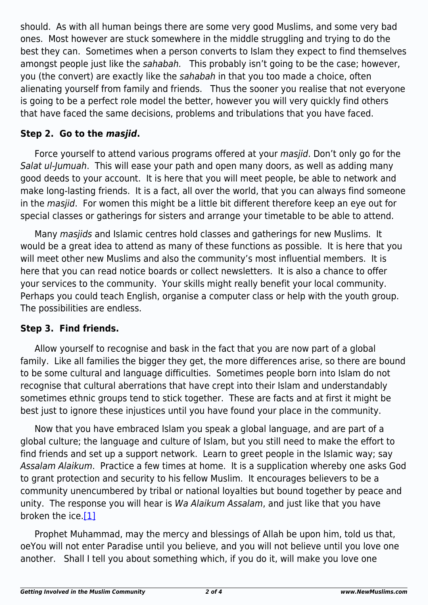should. As with all human beings there are some very good Muslims, and some very bad ones. Most however are stuck somewhere in the middle struggling and trying to do the best they can. Sometimes when a person converts to Islam they expect to find themselves amongst people just like the sahabah. This probably isn't going to be the case; however, you (the convert) are exactly like the sahabah in that you too made a choice, often alienating yourself from family and friends. Thus the sooner you realise that not everyone is going to be a perfect role model the better, however you will very quickly find others that have faced the same decisions, problems and tribulations that you have faced.

## **Step 2. Go to the** *masjid***.**

Force yourself to attend various programs offered at your masjid. Don't only go for the Salat ul-Jumuah. This will ease your path and open many doors, as well as adding many good deeds to your account. It is here that you will meet people, be able to network and make long-lasting friends. It is a fact, all over the world, that you can always find someone in the masjid. For women this might be a little bit different therefore keep an eye out for special classes or gatherings for sisters and arrange your timetable to be able to attend.

Many masjids and Islamic centres hold classes and gatherings for new Muslims. It would be a great idea to attend as many of these functions as possible. It is here that you will meet other new Muslims and also the community's most influential members. It is here that you can read notice boards or collect newsletters. It is also a chance to offer your services to the community. Your skills might really benefit your local community. Perhaps you could teach English, organise a computer class or help with the youth group. The possibilities are endless.

## **Step 3. Find friends.**

Allow yourself to recognise and bask in the fact that you are now part of a global family. Like all families the bigger they get, the more differences arise, so there are bound to be some cultural and language difficulties. Sometimes people born into Islam do not recognise that cultural aberrations that have crept into their Islam and understandably sometimes ethnic groups tend to stick together. These are facts and at first it might be best just to ignore these injustices until you have found your place in the community.

Now that you have embraced Islam you speak a global language, and are part of a global culture; the language and culture of Islam, but you still need to make the effort to find friends and set up a support network. Learn to greet people in the Islamic way; say Assalam Alaikum. Practice a few times at home. It is a supplication whereby one asks God to grant protection and security to his fellow Muslim. It encourages believers to be a community unencumbered by tribal or national loyalties but bound together by peace and unity. The response you will hear is Wa Alaikum Assalam, and just like that you have broken the ice[.\[1\]](#page-2-0)

<span id="page-1-1"></span><span id="page-1-0"></span>Prophet Muhammad, may the mercy and blessings of Allah be upon him, told us that, oeYou will not enter Paradise until you believe, and you will not believe until you love one another. Shall I tell you about something which, if you do it, will make you love one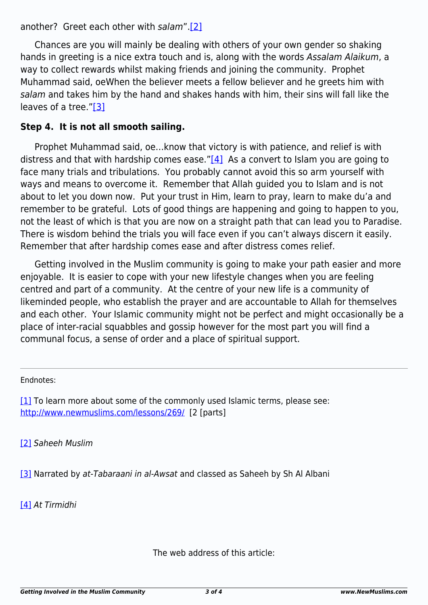another? Greet each other with salam"[.\[2\]](#page-2-1)

Chances are you will mainly be dealing with others of your own gender so shaking hands in greeting is a nice extra touch and is, along with the words Assalam Alaikum, a way to collect rewards whilst making friends and joining the community. Prophet Muhammad said, oeWhen the believer meets a fellow believer and he greets him with salam and takes him by the hand and shakes hands with him, their sins will fall like the leaves of a tree.["\[3\]](#page-2-2)

# <span id="page-2-4"></span>**Step 4. It is not all smooth sailing.**

<span id="page-2-5"></span>Prophet Muhammad said, oe…know that victory is with patience, and relief is with distress and that with hardship comes ease." $[4]$  As a convert to Islam you are going to face many trials and tribulations. You probably cannot avoid this so arm yourself with ways and means to overcome it. Remember that Allah guided you to Islam and is not about to let you down now. Put your trust in Him, learn to pray, learn to make du'a and remember to be grateful. Lots of good things are happening and going to happen to you, not the least of which is that you are now on a straight path that can lead you to Paradise. There is wisdom behind the trials you will face even if you can't always discern it easily. Remember that after hardship comes ease and after distress comes relief.

Getting involved in the Muslim community is going to make your path easier and more enjoyable. It is easier to cope with your new lifestyle changes when you are feeling centred and part of a community. At the centre of your new life is a community of likeminded people, who establish the prayer and are accountable to Allah for themselves and each other. Your Islamic community might not be perfect and might occasionally be a place of inter-racial squabbles and gossip however for the most part you will find a communal focus, a sense of order and a place of spiritual support.

Endnotes:

<span id="page-2-0"></span>[\[1\]](#page-1-0) To learn more about some of the commonly used Islamic terms, please see: <http://www.newmuslims.com/lessons/269/>[2 [parts]

<span id="page-2-1"></span>[\[2\]](#page-1-1) Saheeh Muslim

<span id="page-2-2"></span>[\[3\]](#page-2-4) Narrated by at-Tabaraani in al-Awsat and classed as Saheeh by Sh Al Albani

<span id="page-2-3"></span>[\[4\]](#page-2-5) At Tirmidhi

The web address of this article: